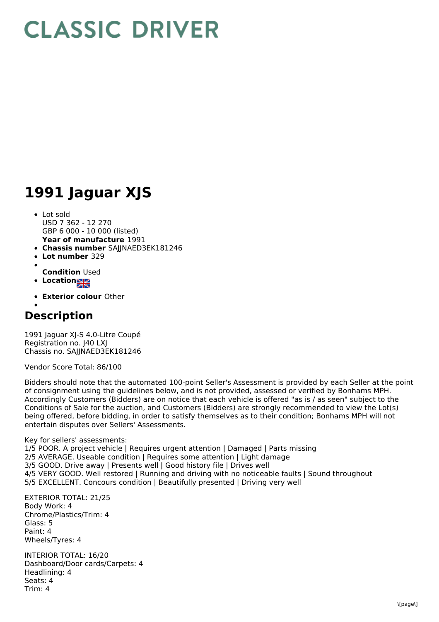## **CLASSIC DRIVER**

## **1991 Jaguar XJS**

- **Year of manufacture** 1991 • Lot sold USD 7 362 - 12 270 GBP 6 000 - 10 000 (listed)
- **Chassis number** SAJJNAED3EK181246
- **Lot number** 329
- 
- **Condition** Used
- **Location**
- **Exterior colour** Other
- 

## **Description**

1991 Jaguar XJ-S 4.0-Litre Coupé Registration no. J40 LXJ Chassis no. SAJJNAED3EK181246

Vendor Score Total: 86/100

Bidders should note that the automated 100-point Seller's Assessment is provided by each Seller at the point of consignment using the guidelines below, and is not provided, assessed or verified by Bonhams MPH. Accordingly Customers (Bidders) are on notice that each vehicle is offered "as is / as seen" subject to the Conditions of Sale for the auction, and Customers (Bidders) are strongly recommended to view the Lot(s) being offered, before bidding, in order to satisfy themselves as to their condition; Bonhams MPH will not entertain disputes over Sellers' Assessments.

Key for sellers' assessments: 1/5 POOR. A project vehicle | Requires urgent attention | Damaged | Parts missing 2/5 AVERAGE. Useable condition | Requires some attention | Light damage 3/5 GOOD. Drive away | Presents well | Good history file | Drives well 4/5 VERY GOOD. Well restored | Running and driving with no noticeable faults | Sound throughout 5/5 EXCELLENT. Concours condition | Beautifully presented | Driving very well

EXTERIOR TOTAL: 21/25 Body Work: 4 Chrome/Plastics/Trim: 4 Glass: 5 Paint: 4 Wheels/Tyres: 4

INTERIOR TOTAL: 16/20 Dashboard/Door cards/Carpets: 4 Headlining: 4 Seats: 4 Trim: 4